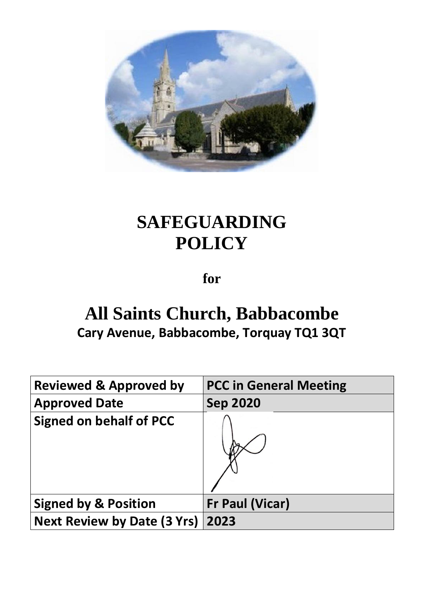

# **SAFEGUARDING POLICY**

**for**

# **All Saints Church, Babbacombe Cary Avenue, Babbacombe, Torquay TQ1 3QT**

| <b>Reviewed &amp; Approved by</b>  | <b>PCC in General Meeting</b> |
|------------------------------------|-------------------------------|
| <b>Approved Date</b>               | <b>Sep 2020</b>               |
| <b>Signed on behalf of PCC</b>     |                               |
| <b>Signed by &amp; Position</b>    | <b>Fr Paul (Vicar)</b>        |
| <b>Next Review by Date (3 Yrs)</b> | 2023                          |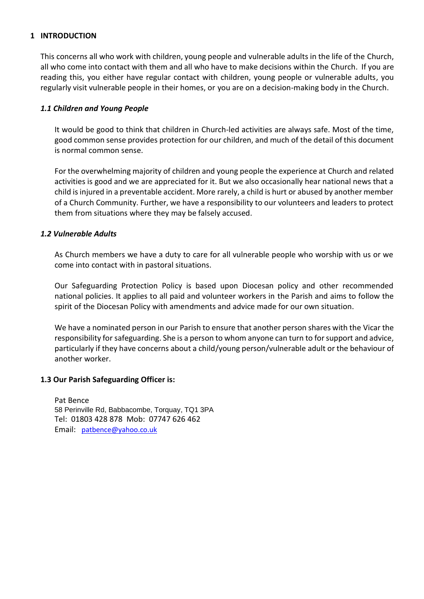#### **1 INTRODUCTION**

This concerns all who work with children, young people and vulnerable adults in the life of the Church, all who come into contact with them and all who have to make decisions within the Church. If you are reading this, you either have regular contact with children, young people or vulnerable adults, you regularly visit vulnerable people in their homes, or you are on a decision-making body in the Church.

#### *1.1 Children and Young People*

It would be good to think that children in Church-led activities are always safe. Most of the time, good common sense provides protection for our children, and much of the detail of this document is normal common sense.

For the overwhelming majority of children and young people the experience at Church and related activities is good and we are appreciated for it. But we also occasionally hear national news that a child is injured in a preventable accident. More rarely, a child is hurt or abused by another member of a Church Community. Further, we have a responsibility to our volunteers and leaders to protect them from situations where they may be falsely accused.

#### *1.2 Vulnerable Adults*

As Church members we have a duty to care for all vulnerable people who worship with us or we come into contact with in pastoral situations.

Our Safeguarding Protection Policy is based upon Diocesan policy and other recommended national policies. It applies to all paid and volunteer workers in the Parish and aims to follow the spirit of the Diocesan Policy with amendments and advice made for our own situation.

We have a nominated person in our Parish to ensure that another person shares with the Vicar the responsibility for safeguarding. She is a person to whom anyone can turn to for support and advice, particularly if they have concerns about a child/young person/vulnerable adult or the behaviour of another worker.

#### **1.3 Our Parish Safeguarding Officer is:**

Pat Bence 58 Perinville Rd, Babbacombe, Torquay, TQ1 3PA Tel: 01803 428 878 Mob: 07747 626 462 Email: [patbence@yahoo.co.uk](mailto:patbence@yahoo.co.uk)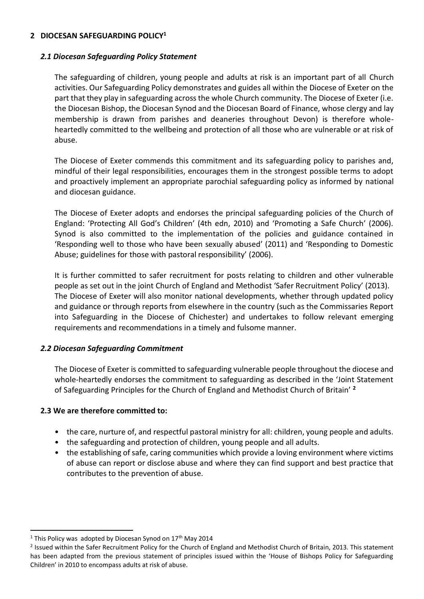#### **2 DIOCESAN SAFEGUARDING POLICY<sup>1</sup>**

#### *2.1 Diocesan Safeguarding Policy Statement*

The safeguarding of children, young people and adults at risk is an important part of all Church activities. Our Safeguarding Policy demonstrates and guides all within the Diocese of Exeter on the part that they play in safeguarding across the whole Church community. The Diocese of Exeter (i.e. the Diocesan Bishop, the Diocesan Synod and the Diocesan Board of Finance, whose clergy and lay membership is drawn from parishes and deaneries throughout Devon) is therefore wholeheartedly committed to the wellbeing and protection of all those who are vulnerable or at risk of abuse.

The Diocese of Exeter commends this commitment and its safeguarding policy to parishes and, mindful of their legal responsibilities, encourages them in the strongest possible terms to adopt and proactively implement an appropriate parochial safeguarding policy as informed by national and diocesan guidance.

The Diocese of Exeter adopts and endorses the principal safeguarding policies of the Church of England: 'Protecting All God's Children' (4th edn, 2010) and 'Promoting a Safe Church' (2006). Synod is also committed to the implementation of the policies and guidance contained in 'Responding well to those who have been sexually abused' (2011) and 'Responding to Domestic Abuse; guidelines for those with pastoral responsibility' (2006).

It is further committed to safer recruitment for posts relating to children and other vulnerable people as set out in the joint Church of England and Methodist 'Safer Recruitment Policy' (2013). The Diocese of Exeter will also monitor national developments, whether through updated policy and guidance or through reports from elsewhere in the country (such as the Commissaries Report into Safeguarding in the Diocese of Chichester) and undertakes to follow relevant emerging requirements and recommendations in a timely and fulsome manner.

# *2.2 Diocesan Safeguarding Commitment*

The Diocese of Exeter is committed to safeguarding vulnerable people throughout the diocese and whole-heartedly endorses the commitment to safeguarding as described in the 'Joint Statement of Safeguarding Principles for the Church of England and Methodist Church of Britain' **<sup>2</sup>**

# **2.3 We are therefore committed to:**

- the care, nurture of, and respectful pastoral ministry for all: children, young people and adults.
- the safeguarding and protection of children, young people and all adults.
- the establishing of safe, caring communities which provide a loving environment where victims of abuse can report or disclose abuse and where they can find support and best practice that contributes to the prevention of abuse.

<sup>&</sup>lt;sup>1</sup> This Policy was adopted by Diocesan Synod on  $17<sup>th</sup>$  May 2014

<sup>&</sup>lt;sup>2</sup> Issued within the Safer Recruitment Policy for the Church of England and Methodist Church of Britain, 2013. This statement has been adapted from the previous statement of principles issued within the 'House of Bishops Policy for Safeguarding Children' in 2010 to encompass adults at risk of abuse.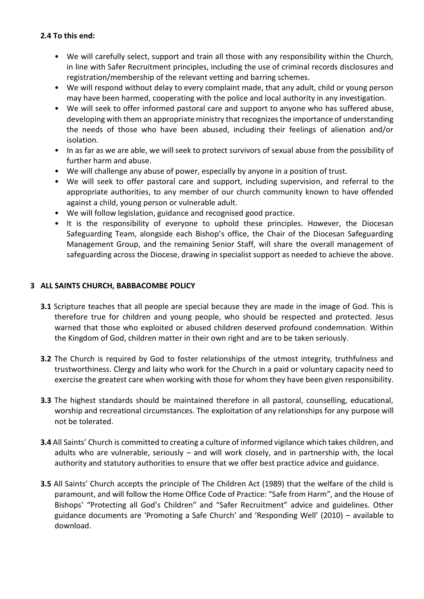# **2.4 To this end:**

- We will carefully select, support and train all those with any responsibility within the Church, in line with Safer Recruitment principles, including the use of criminal records disclosures and registration/membership of the relevant vetting and barring schemes.
- We will respond without delay to every complaint made, that any adult, child or young person may have been harmed, cooperating with the police and local authority in any investigation.
- We will seek to offer informed pastoral care and support to anyone who has suffered abuse, developing with them an appropriate ministry that recognizes the importance of understanding the needs of those who have been abused, including their feelings of alienation and/or isolation.
- In as far as we are able, we will seek to protect survivors of sexual abuse from the possibility of further harm and abuse.
- We will challenge any abuse of power, especially by anyone in a position of trust.
- We will seek to offer pastoral care and support, including supervision, and referral to the appropriate authorities, to any member of our church community known to have offended against a child, young person or vulnerable adult.
- We will follow legislation, guidance and recognised good practice.
- It is the responsibility of everyone to uphold these principles. However, the Diocesan Safeguarding Team, alongside each Bishop's office, the Chair of the Diocesan Safeguarding Management Group, and the remaining Senior Staff, will share the overall management of safeguarding across the Diocese, drawing in specialist support as needed to achieve the above.

# **3 ALL SAINTS CHURCH, BABBACOMBE POLICY**

- **3.1** Scripture teaches that all people are special because they are made in the image of God. This is therefore true for children and young people, who should be respected and protected. Jesus warned that those who exploited or abused children deserved profound condemnation. Within the Kingdom of God, children matter in their own right and are to be taken seriously.
- **3.2** The Church is required by God to foster relationships of the utmost integrity, truthfulness and trustworthiness. Clergy and laity who work for the Church in a paid or voluntary capacity need to exercise the greatest care when working with those for whom they have been given responsibility.
- **3.3** The highest standards should be maintained therefore in all pastoral, counselling, educational, worship and recreational circumstances. The exploitation of any relationships for any purpose will not be tolerated.
- **3.4** All Saints' Church is committed to creating a culture of informed vigilance which takes children, and adults who are vulnerable, seriously – and will work closely, and in partnership with, the local authority and statutory authorities to ensure that we offer best practice advice and guidance.
- **3.5** All Saints' Church accepts the principle of The Children Act (1989) that the welfare of the child is paramount, and will follow the Home Office Code of Practice: "Safe from Harm", and the House of Bishops' "Protecting all God's Children" and "Safer Recruitment" advice and guidelines. Other guidance documents are 'Promoting a Safe Church' and 'Responding Well' (2010) – available to download.